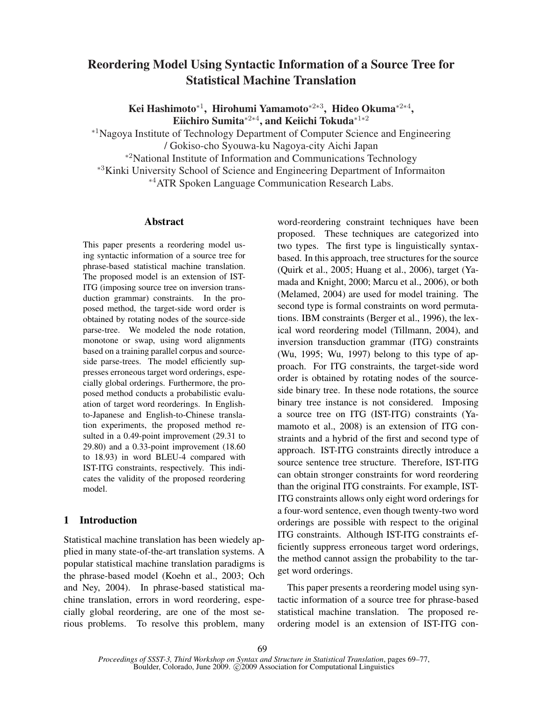# Reordering Model Using Syntactic Information of a Source Tree for Statistical Machine Translation

Kei Hashimoto\*<sup>1</sup>, Hirohumi Yamamoto\*<sup>2∗3</sup>, Hideo Okuma\*<sup>2∗4</sup>, Eiichiro Sumita $^{*2*4}$ , and Keiichi Tokuda $^{*1*2}$ 

<sup>∗</sup><sup>1</sup>Nagoya Institute of Technology Department of Computer Science and Engineering / Gokiso-cho Syouwa-ku Nagoya-city Aichi Japan <sup>∗</sup><sup>2</sup>National Institute of Information and Communications Technology <sup>∗</sup><sup>3</sup>Kinki University School of Science and Engineering Department of Informaiton

<sup>∗</sup><sup>4</sup>ATR Spoken Language Communication Research Labs.

### Abstract

This paper presents a reordering model using syntactic information of a source tree for phrase-based statistical machine translation. The proposed model is an extension of IST-ITG (imposing source tree on inversion transduction grammar) constraints. In the proposed method, the target-side word order is obtained by rotating nodes of the source-side parse-tree. We modeled the node rotation, monotone or swap, using word alignments based on a training parallel corpus and sourceside parse-trees. The model efficiently suppresses erroneous target word orderings, especially global orderings. Furthermore, the proposed method conducts a probabilistic evaluation of target word reorderings. In Englishto-Japanese and English-to-Chinese translation experiments, the proposed method resulted in a 0.49-point improvement (29.31 to 29.80) and a 0.33-point improvement (18.60 to 18.93) in word BLEU-4 compared with IST-ITG constraints, respectively. This indicates the validity of the proposed reordering model.

# 1 Introduction

Statistical machine translation has been wiedely applied in many state-of-the-art translation systems. A popular statistical machine translation paradigms is the phrase-based model (Koehn et al., 2003; Och and Ney, 2004). In phrase-based statistical machine translation, errors in word reordering, especially global reordering, are one of the most serious problems. To resolve this problem, many

word-reordering constraint techniques have been proposed. These techniques are categorized into two types. The first type is linguistically syntaxbased. In this approach, tree structures for the source (Quirk et al., 2005; Huang et al., 2006), target (Yamada and Knight, 2000; Marcu et al., 2006), or both (Melamed, 2004) are used for model training. The second type is formal constraints on word permutations. IBM constraints (Berger et al., 1996), the lexical word reordering model (Tillmann, 2004), and inversion transduction grammar (ITG) constraints (Wu, 1995; Wu, 1997) belong to this type of approach. For ITG constraints, the target-side word order is obtained by rotating nodes of the sourceside binary tree. In these node rotations, the source binary tree instance is not considered. Imposing a source tree on ITG (IST-ITG) constraints (Yamamoto et al., 2008) is an extension of ITG constraints and a hybrid of the first and second type of approach. IST-ITG constraints directly introduce a source sentence tree structure. Therefore, IST-ITG can obtain stronger constraints for word reordering than the original ITG constraints. For example, IST-ITG constraints allows only eight word orderings for a four-word sentence, even though twenty-two word orderings are possible with respect to the original ITG constraints. Although IST-ITG constraints efficiently suppress erroneous target word orderings, the method cannot assign the probability to the target word orderings.

This paper presents a reordering model using syntactic information of a source tree for phrase-based statistical machine translation. The proposed reordering model is an extension of IST-ITG con-

*Proceedings of SSST-3, Third Workshop on Syntax and Structure in Statistical Translation*, pages 69–77, Boulder, Colorado, June 2009. © 2009 Association for Computational Linguistics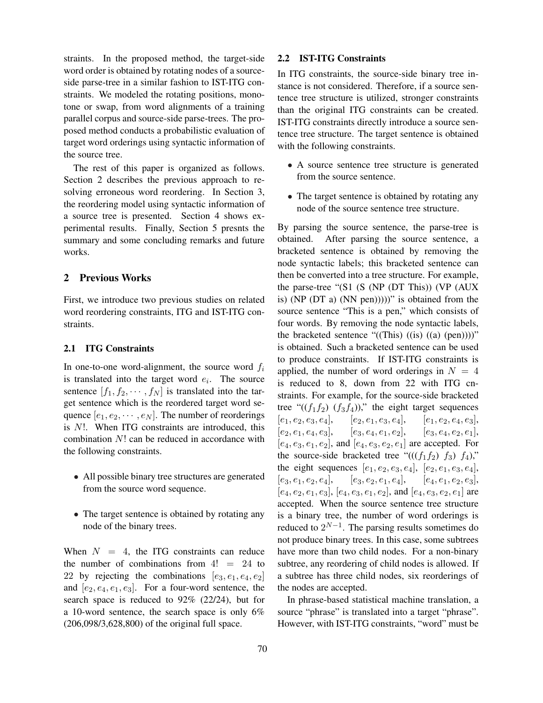straints. In the proposed method, the target-side word order is obtained by rotating nodes of a sourceside parse-tree in a similar fashion to IST-ITG constraints. We modeled the rotating positions, monotone or swap, from word alignments of a training parallel corpus and source-side parse-trees. The proposed method conducts a probabilistic evaluation of target word orderings using syntactic information of the source tree.

The rest of this paper is organized as follows. Section 2 describes the previous approach to resolving erroneous word reordering. In Section 3, the reordering model using syntactic information of a source tree is presented. Section 4 shows experimental results. Finally, Section 5 presnts the summary and some concluding remarks and future works.

### 2 Previous Works

First, we introduce two previous studies on related word reordering constraints, ITG and IST-ITG constraints.

#### 2.1 ITG Constraints

In one-to-one word-alignment, the source word  $f_i$ is translated into the target word  $e_i$ . The source sentence  $[f_1, f_2, \cdots, f_N]$  is translated into the target sentence which is the reordered target word sequence  $[e_1, e_2, \cdots, e_N]$ . The number of reorderings is N!. When ITG constraints are introduced, this combination N! can be reduced in accordance with the following constraints.

- All possible binary tree structures are generated from the source word sequence.
- The target sentence is obtained by rotating any node of the binary trees.

When  $N = 4$ , the ITG constraints can reduce the number of combinations from  $4! = 24$  to 22 by rejecting the combinations  $[e_3, e_1, e_4, e_2]$ and  $[e_2, e_4, e_1, e_3]$ . For a four-word sentence, the search space is reduced to 92% (22/24), but for a 10-word sentence, the search space is only 6% (206,098/3,628,800) of the original full space.

### 2.2 IST-ITG Constraints

In ITG constraints, the source-side binary tree instance is not considered. Therefore, if a source sentence tree structure is utilized, stronger constraints than the original ITG constraints can be created. IST-ITG constraints directly introduce a source sentence tree structure. The target sentence is obtained with the following constraints.

- A source sentence tree structure is generated from the source sentence.
- The target sentence is obtained by rotating any node of the source sentence tree structure.

By parsing the source sentence, the parse-tree is obtained. After parsing the source sentence, a bracketed sentence is obtained by removing the node syntactic labels; this bracketed sentence can then be converted into a tree structure. For example, the parse-tree "(S1 (S (NP (DT This)) (VP (AUX is) (NP (DT a) (NN pen)))))" is obtained from the source sentence "This is a pen," which consists of four words. By removing the node syntactic labels, the bracketed sentence " $((This)$  $((is)$  $((a)$  $(pen))))$ " is obtained. Such a bracketed sentence can be used to produce constraints. If IST-ITG constraints is applied, the number of word orderings in  $N = 4$ is reduced to 8, down from 22 with ITG cnstraints. For example, for the source-side bracketed tree " $((f_1f_2) (f_3f_4))$ ," the eight target sequences  $[e_1, e_2, e_3, e_4], \quad [e_2, e_1, e_3, e_4], \quad [e_1, e_2, e_4, e_3],$  $[e_2, e_1, e_4, e_3], \quad [e_3, e_4, e_1, e_2], \quad [e_3, e_4, e_2, e_1],$  $[e_4, e_3, e_1, e_2]$ , and  $[e_4, e_3, e_2, e_1]$  are accepted. For the source-side bracketed tree " $(((f_1f_2) f_3) f_4)$ ," the eight sequences  $[e_1, e_2, e_3, e_4]$ ,  $[e_2, e_1, e_3, e_4]$ ,  $[e_3, e_1, e_2, e_4], \quad [e_3, e_2, e_1, e_4], \quad [e_4, e_1, e_2, e_3],$  $[e_4, e_2, e_1, e_3]$ ,  $[e_4, e_3, e_1, e_2]$ , and  $[e_4, e_3, e_2, e_1]$  are accepted. When the source sentence tree structure is a binary tree, the number of word orderings is reduced to  $2^{N-1}$ . The parsing results sometimes do not produce binary trees. In this case, some subtrees have more than two child nodes. For a non-binary subtree, any reordering of child nodes is allowed. If a subtree has three child nodes, six reorderings of the nodes are accepted.

In phrase-based statistical machine translation, a source "phrase" is translated into a target "phrase". However, with IST-ITG constraints, "word" must be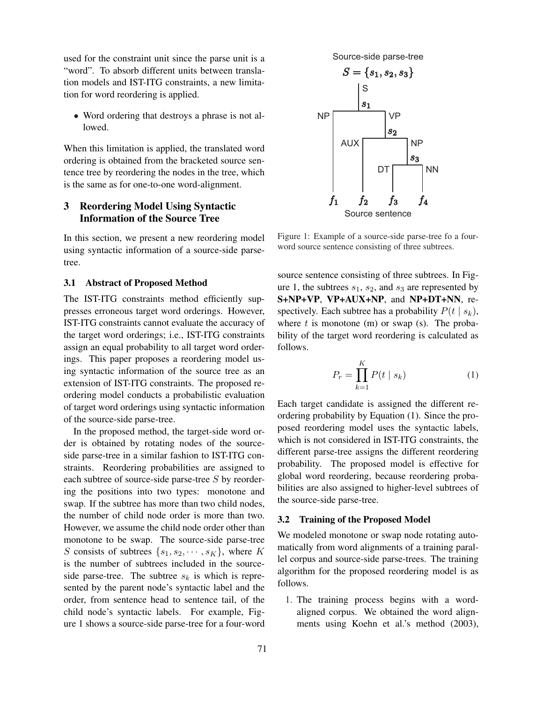used for the constraint unit since the parse unit is a "word". To absorb different units between translation models and IST-ITG constraints, a new limitation for word reordering is applied.

• Word ordering that destroys a phrase is not allowed.

When this limitation is applied, the translated word ordering is obtained from the bracketed source sentence tree by reordering the nodes in the tree, which is the same as for one-to-one word-alignment.

# 3 Reordering Model Using Syntactic Information of the Source Tree

In this section, we present a new reordering model using syntactic information of a source-side parsetree.

### 3.1 Abstract of Proposed Method

The IST-ITG constraints method efficiently suppresses erroneous target word orderings. However, IST-ITG constraints cannot evaluate the accuracy of the target word orderings; i.e., IST-ITG constraints assign an equal probability to all target word orderings. This paper proposes a reordering model using syntactic information of the source tree as an extension of IST-ITG constraints. The proposed reordering model conducts a probabilistic evaluation of target word orderings using syntactic information of the source-side parse-tree.

In the proposed method, the target-side word order is obtained by rotating nodes of the sourceside parse-tree in a similar fashion to IST-ITG constraints. Reordering probabilities are assigned to each subtree of source-side parse-tree S by reordering the positions into two types: monotone and swap. If the subtree has more than two child nodes, the number of child node order is more than two. However, we assume the child node order other than monotone to be swap. The source-side parse-tree S consists of subtrees  $\{s_1, s_2, \cdots, s_K\}$ , where K is the number of subtrees included in the sourceside parse-tree. The subtree  $s_k$  is which is represented by the parent node's syntactic label and the order, from sentence head to sentence tail, of the child node's syntactic labels. For example, Figure 1 shows a source-side parse-tree for a four-word



Figure 1: Example of a source-side parse-tree fo a fourword source sentence consisting of three subtrees.

source sentence consisting of three subtrees. In Figure 1, the subtrees  $s_1$ ,  $s_2$ , and  $s_3$  are represented by S+NP+VP, VP+AUX+NP, and NP+DT+NN, respectively. Each subtree has a probability  $P(t | s_k)$ , where  $t$  is monotone (m) or swap (s). The probability of the target word reordering is calculated as follows.

$$
P_r = \prod_{k=1}^{K} P(t \mid s_k)
$$
\n<sup>(1)</sup>

Each target candidate is assigned the different reordering probability by Equation (1). Since the proposed reordering model uses the syntactic labels, which is not considered in IST-ITG constraints, the different parse-tree assigns the different reordering probability. The proposed model is effective for global word reordering, because reordering probabilities are also assigned to higher-level subtrees of the source-side parse-tree.

### 3.2 Training of the Proposed Model

We modeled monotone or swap node rotating automatically from word alignments of a training parallel corpus and source-side parse-trees. The training algorithm for the proposed reordering model is as follows.

1. The training process begins with a wordaligned corpus. We obtained the word alignments using Koehn et al.'s method (2003),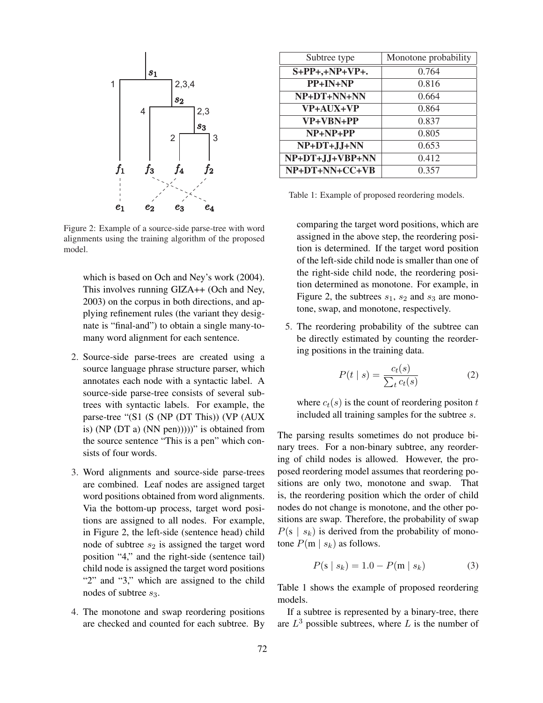

Figure 2: Example of a source-side parse-tree with word alignments using the training algorithm of the proposed model.

which is based on Och and Ney's work (2004). This involves running GIZA++ (Och and Ney, 2003) on the corpus in both directions, and applying refinement rules (the variant they designate is "final-and") to obtain a single many-tomany word alignment for each sentence.

- 2. Source-side parse-trees are created using a source language phrase structure parser, which annotates each node with a syntactic label. A source-side parse-tree consists of several subtrees with syntactic labels. For example, the parse-tree "(S1 (S (NP (DT This)) (VP (AUX is) (NP (DT a) (NN pen)))))" is obtained from the source sentence "This is a pen" which consists of four words.
- 3. Word alignments and source-side parse-trees are combined. Leaf nodes are assigned target word positions obtained from word alignments. Via the bottom-up process, target word positions are assigned to all nodes. For example, in Figure 2, the left-side (sentence head) child node of subtree  $s_2$  is assigned the target word position "4," and the right-side (sentence tail) child node is assigned the target word positions "2" and "3," which are assigned to the child nodes of subtree  $s_3$ .
- 4. The monotone and swap reordering positions are checked and counted for each subtree. By

| Subtree type      | Monotone probability |
|-------------------|----------------------|
| $S+PP+, +NP+VP+.$ | 0.764                |
| $PP+IN+NP$        | 0.816                |
| NP+DT+NN+NN       | 0.664                |
| VP+AUX+VP         | 0.864                |
| VP+VBN+PP         | 0.837                |
| $NP+NP+PP$        | 0.805                |
| $NP+DT+JJ+NN$     | 0.653                |
| NP+DT+JJ+VBP+NN   | 0.412                |
| NP+DT+NN+CC+VB    | 0.357                |

Table 1: Example of proposed reordering models.

comparing the target word positions, which are assigned in the above step, the reordering position is determined. If the target word position of the left-side child node is smaller than one of the right-side child node, the reordering position determined as monotone. For example, in Figure 2, the subtrees  $s_1$ ,  $s_2$  and  $s_3$  are monotone, swap, and monotone, respectively.

5. The reordering probability of the subtree can be directly estimated by counting the reordering positions in the training data.

$$
P(t \mid s) = \frac{c_t(s)}{\sum_t c_t(s)}\tag{2}
$$

where  $c_t(s)$  is the count of reordering positon t included all training samples for the subtree s.

The parsing results sometimes do not produce binary trees. For a non-binary subtree, any reordering of child nodes is allowed. However, the proposed reordering model assumes that reordering positions are only two, monotone and swap. That is, the reordering position which the order of child nodes do not change is monotone, and the other positions are swap. Therefore, the probability of swap  $P(s \mid s_k)$  is derived from the probability of monotone  $P(m \mid s_k)$  as follows.

$$
P(s \mid s_k) = 1.0 - P(m \mid s_k)
$$
 (3)

Table 1 shows the example of proposed reordering models.

If a subtree is represented by a binary-tree, there are  $L^3$  possible subtrees, where L is the number of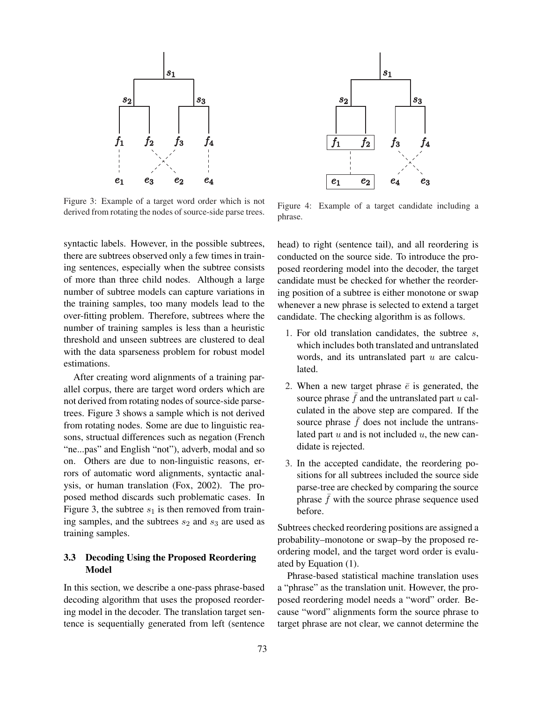

Figure 3: Example of a target word order which is not derived from rotating the nodes of source-side parse trees.

syntactic labels. However, in the possible subtrees, there are subtrees observed only a few times in training sentences, especially when the subtree consists of more than three child nodes. Although a large number of subtree models can capture variations in the training samples, too many models lead to the over-fitting problem. Therefore, subtrees where the number of training samples is less than a heuristic threshold and unseen subtrees are clustered to deal with the data sparseness problem for robust model estimations.

After creating word alignments of a training parallel corpus, there are target word orders which are not derived from rotating nodes of source-side parsetrees. Figure 3 shows a sample which is not derived from rotating nodes. Some are due to linguistic reasons, structual differences such as negation (French "ne...pas" and English "not"), adverb, modal and so on. Others are due to non-linguistic reasons, errors of automatic word alignments, syntactic analysis, or human translation (Fox, 2002). The proposed method discards such problematic cases. In Figure 3, the subtree  $s_1$  is then removed from training samples, and the subtrees  $s_2$  and  $s_3$  are used as training samples.

### 3.3 Decoding Using the Proposed Reordering Model

In this section, we describe a one-pass phrase-based decoding algorithm that uses the proposed reordering model in the decoder. The translation target sentence is sequentially generated from left (sentence



Figure 4: Example of a target candidate including a phrase.

head) to right (sentence tail), and all reordering is conducted on the source side. To introduce the proposed reordering model into the decoder, the target candidate must be checked for whether the reordering position of a subtree is either monotone or swap whenever a new phrase is selected to extend a target candidate. The checking algorithm is as follows.

- 1. For old translation candidates, the subtree s, which includes both translated and untranslated words, and its untranslated part  $u$  are calculated.
- 2. When a new target phrase  $\bar{e}$  is generated, the source phrase  $\bar{f}$  and the untranslated part u calculated in the above step are compared. If the source phrase  $\bar{f}$  does not include the untranslated part  $u$  and is not included  $u$ , the new candidate is rejected.
- 3. In the accepted candidate, the reordering positions for all subtrees included the source side parse-tree are checked by comparing the source phrase  $f$  with the source phrase sequence used before.

Subtrees checked reordering positions are assigned a probability–monotone or swap–by the proposed reordering model, and the target word order is evaluated by Equation (1).

Phrase-based statistical machine translation uses a "phrase" as the translation unit. However, the proposed reordering model needs a "word" order. Because "word" alignments form the source phrase to target phrase are not clear, we cannot determine the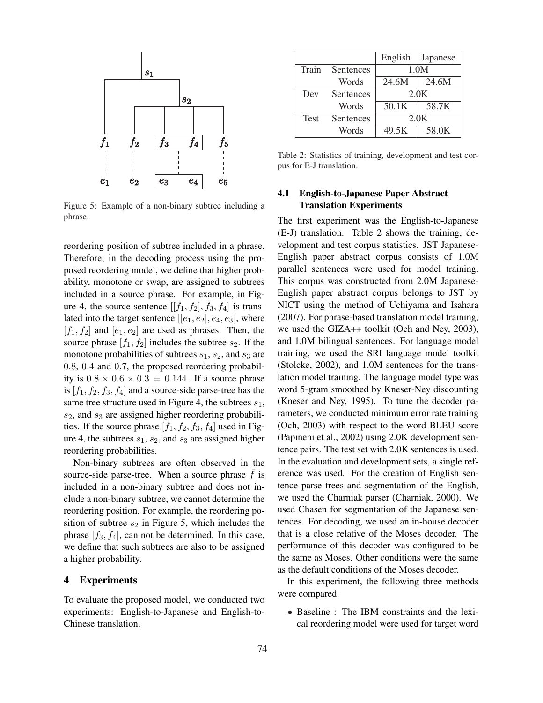

Figure 5: Example of a non-binary subtree including a phrase.

reordering position of subtree included in a phrase. Therefore, in the decoding process using the proposed reordering model, we define that higher probability, monotone or swap, are assigned to subtrees included in a source phrase. For example, in Figure 4, the source sentence  $[[f_1, f_2], f_3, f_4]$  is translated into the target sentence  $[[e_1, e_2], e_4, e_3]$ , where  $[f_1, f_2]$  and  $[e_1, e_2]$  are used as phrases. Then, the source phrase  $[f_1, f_2]$  includes the subtree  $s_2$ . If the monotone probabilities of subtrees  $s_1$ ,  $s_2$ , and  $s_3$  are 0.8, 0.4 and 0.7, the proposed reordering probability is  $0.8 \times 0.6 \times 0.3 = 0.144$ . If a source phrase is  $[f_1, f_2, f_3, f_4]$  and a source-side parse-tree has the same tree structure used in Figure 4, the subtrees  $s_1$ ,  $s_2$ , and  $s_3$  are assigned higher reordering probabilities. If the source phrase  $[f_1, f_2, f_3, f_4]$  used in Figure 4, the subtrees  $s_1$ ,  $s_2$ , and  $s_3$  are assigned higher reordering probabilities.

Non-binary subtrees are often observed in the source-side parse-tree. When a source phrase  $f$  is included in a non-binary subtree and does not include a non-binary subtree, we cannot determine the reordering position. For example, the reordering position of subtree  $s_2$  in Figure 5, which includes the phrase  $[f_3, f_4]$ , can not be determined. In this case, we define that such subtrees are also to be assigned a higher probability.

### 4 Experiments

To evaluate the proposed model, we conducted two experiments: English-to-Japanese and English-to-Chinese translation.

|             |           | English | Japanese |
|-------------|-----------|---------|----------|
| Train       | Sentences | 1.0M    |          |
|             | Words     | 24.6M   | 24.6M    |
| Dev         | Sentences | 2.0K    |          |
|             | Words     | 50.1K   | 58.7K    |
| <b>Test</b> | Sentences | 2.0K    |          |
|             | Words     | 49.5K   | 58.0K    |

Table 2: Statistics of training, development and test corpus for E-J translation.

### 4.1 English-to-Japanese Paper Abstract Translation Experiments

The first experiment was the English-to-Japanese (E-J) translation. Table 2 shows the training, development and test corpus statistics. JST Japanese-English paper abstract corpus consists of 1.0M parallel sentences were used for model training. This corpus was constructed from 2.0M Japanese-English paper abstract corpus belongs to JST by NICT using the method of Uchiyama and Isahara (2007). For phrase-based translation model training, we used the GIZA++ toolkit (Och and Ney, 2003), and 1.0M bilingual sentences. For language model training, we used the SRI language model toolkit (Stolcke, 2002), and 1.0M sentences for the translation model training. The language model type was word 5-gram smoothed by Kneser-Ney discounting (Kneser and Ney, 1995). To tune the decoder parameters, we conducted minimum error rate training (Och, 2003) with respect to the word BLEU score (Papineni et al., 2002) using 2.0K development sentence pairs. The test set with 2.0K sentences is used. In the evaluation and development sets, a single reference was used. For the creation of English sentence parse trees and segmentation of the English, we used the Charniak parser (Charniak, 2000). We used Chasen for segmentation of the Japanese sentences. For decoding, we used an in-house decoder that is a close relative of the Moses decoder. The performance of this decoder was configured to be the same as Moses. Other conditions were the same as the default conditions of the Moses decoder.

In this experiment, the following three methods were compared.

• Baseline : The IBM constraints and the lexical reordering model were used for target word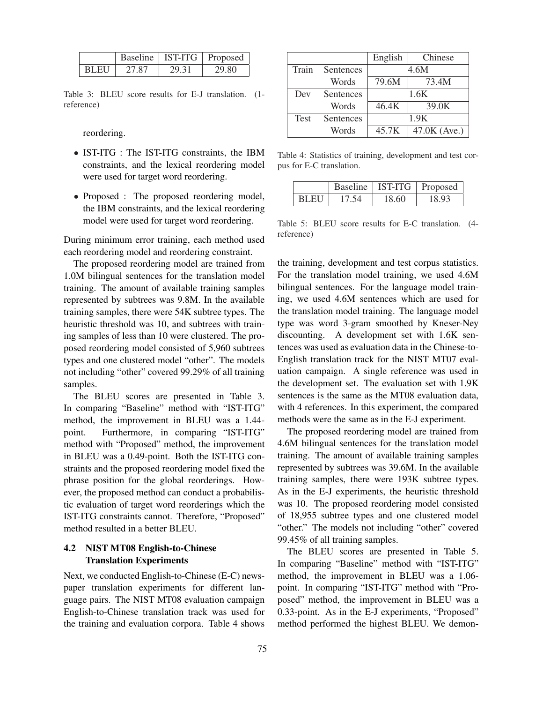|      |       |       | Baseline   IST-ITG   Proposed |
|------|-------|-------|-------------------------------|
| BLEU | 27.87 | 29.31 | 29.80                         |

Table 3: BLEU score results for E-J translation. (1 reference)

reordering.

- IST-ITG : The IST-ITG constraints, the IBM constraints, and the lexical reordering model were used for target word reordering.
- Proposed : The proposed reordering model, the IBM constraints, and the lexical reordering model were used for target word reordering.

During minimum error training, each method used each reordering model and reordering constraint.

The proposed reordering model are trained from 1.0M bilingual sentences for the translation model training. The amount of available training samples represented by subtrees was 9.8M. In the available training samples, there were 54K subtree types. The heuristic threshold was 10, and subtrees with training samples of less than 10 were clustered. The proposed reordering model consisted of 5,960 subtrees types and one clustered model "other". The models not including "other" covered 99.29% of all training samples.

The BLEU scores are presented in Table 3. In comparing "Baseline" method with "IST-ITG" method, the improvement in BLEU was a 1.44 point. Furthermore, in comparing "IST-ITG" method with "Proposed" method, the improvement in BLEU was a 0.49-point. Both the IST-ITG constraints and the proposed reordering model fixed the phrase position for the global reorderings. However, the proposed method can conduct a probabilistic evaluation of target word reorderings which the IST-ITG constraints cannot. Therefore, "Proposed" method resulted in a better BLEU.

# 4.2 NIST MT08 English-to-Chinese Translation Experiments

Next, we conducted English-to-Chinese (E-C) newspaper translation experiments for different language pairs. The NIST MT08 evaluation campaign English-to-Chinese translation track was used for the training and evaluation corpora. Table 4 shows

|       |           | English | Chinese      |
|-------|-----------|---------|--------------|
| Train | Sentences | 4.6M    |              |
|       | Words     | 79.6M   | 73.4M        |
| Dev   | Sentences | 1.6K    |              |
|       | Words     | 46.4K   | 39.0K        |
| Test  | Sentences | 1.9K    |              |
|       | Words     | 45.7K   | 47.0K (Ave.) |

Table 4: Statistics of training, development and test corpus for E-C translation.

|       |       |       | Baseline   IST-ITG   Proposed |
|-------|-------|-------|-------------------------------|
| BL EU | 17.54 | 18.60 | 18 93                         |

Table 5: BLEU score results for E-C translation. (4 reference)

the training, development and test corpus statistics. For the translation model training, we used 4.6M bilingual sentences. For the language model training, we used 4.6M sentences which are used for the translation model training. The language model type was word 3-gram smoothed by Kneser-Ney discounting. A development set with 1.6K sentences was used as evaluation data in the Chinese-to-English translation track for the NIST MT07 evaluation campaign. A single reference was used in the development set. The evaluation set with 1.9K sentences is the same as the MT08 evaluation data, with 4 references. In this experiment, the compared methods were the same as in the E-J experiment.

The proposed reordering model are trained from 4.6M bilingual sentences for the translation model training. The amount of available training samples represented by subtrees was 39.6M. In the available training samples, there were 193K subtree types. As in the E-J experiments, the heuristic threshold was 10. The proposed reordering model consisted of 18,955 subtree types and one clustered model "other." The models not including "other" covered 99.45% of all training samples.

The BLEU scores are presented in Table 5. In comparing "Baseline" method with "IST-ITG" method, the improvement in BLEU was a 1.06 point. In comparing "IST-ITG" method with "Proposed" method, the improvement in BLEU was a 0.33-point. As in the E-J experiments, "Proposed" method performed the highest BLEU. We demon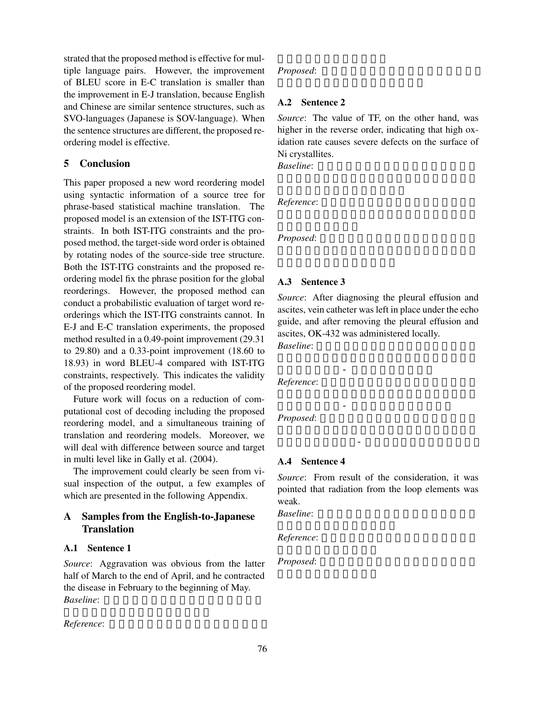strated that the proposed method is effective for multiple language pairs. However, the improvement of BLEU score in E-C translation is smaller than the improvement in E-J translation, because English and Chinese are similar sentence structures, such as SVO-languages (Japanese is SOV-language). When the sentence structures are different, the proposed reordering model is effective.

### 5 Conclusion

This paper proposed a new word reordering model using syntactic information of a source tree for phrase-based statistical machine translation. The proposed model is an extension of the IST-ITG constraints. In both IST-ITG constraints and the proposed method, the target-side word order is obtained by rotating nodes of the source-side tree structure. Both the IST-ITG constraints and the proposed reordering model fix the phrase position for the global reorderings. However, the proposed method can conduct a probabilistic evaluation of target word reorderings which the IST-ITG constraints cannot. In E-J and E-C translation experiments, the proposed method resulted in a 0.49-point improvement (29.31 to 29.80) and a 0.33-point improvement (18.60 to 18.93) in word BLEU-4 compared with IST-ITG constraints, respectively. This indicates the validity of the proposed reordering model.

Future work will focus on a reduction of computational cost of decoding including the proposed reordering model, and a simultaneous training of translation and reordering models. Moreover, we will deal with difference between source and target in multi level like in Gally et al. (2004).

The improvement could clearly be seen from visual inspection of the output, a few examples of which are presented in the following Appendix.

# A Samples from the English-to-Japanese **Translation**

#### A.1 Sentence 1

*Source*: Aggravation was obvious from the latter half of March to the end of April, and he contracted the disease in February to the beginning of May. *Baseline*: 4月末に3月後半から5月上旬に2月

*Reference*: 3月後半から4月末に増悪が著明で,

### *Proposed:*

### A.2 Sentence 2

*Source*: The value of TF, on the other hand, was higher in the reverse order, indicating that high oxidation rate causes severe defects on the surface of Ni crystallites.

*Baseline*:

 $Reference:$ 

*Proposed*:

### A.3 Sentence 3

*Source*: After diagnosing the pleural effusion and ascites, vein catheter was left in place under the echo guide, and after removing the pleural effusion and ascites, OK-432 was administered locally. *Baseline*:

 $Reference:$ 

 $Proposed:$ 

#### A.4 Sentence 4

*Source*: From result of the consideration, it was pointed that radiation from the loop elements was weak.

**Baseline**:

 $Reference:$ 

*Proposed*: